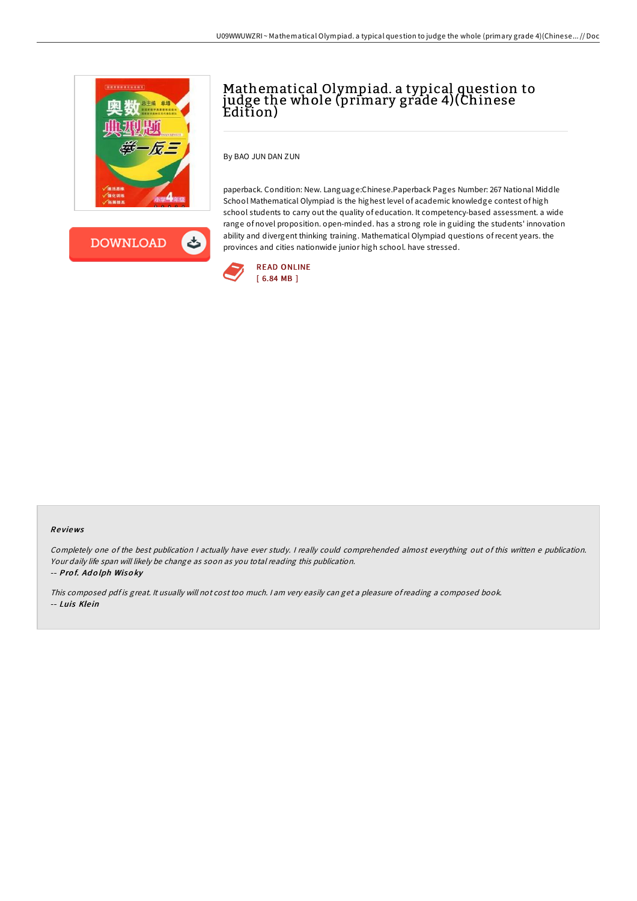

**DOWNLOAD** ځ

## Mathematical Olympiad. a typical question to judge the whole (primary grade 4)(Chinese Edition)

By BAO JUN DAN ZUN

paperback. Condition: New. Language:Chinese.Paperback Pages Number: 267 National Middle School Mathematical Olympiad is the highest level of academic knowledge contest of high school students to carry out the quality of education. It competency-based assessment. a wide range of novel proposition. open-minded. has a strong role in guiding the students' innovation ability and divergent thinking training. Mathematical Olympiad questions ofrecent years. the provinces and cities nationwide junior high school. have stressed.



## Re views

Completely one of the best publication <sup>I</sup> actually have ever study. <sup>I</sup> really could comprehended almost everything out of this written <sup>e</sup> publication. Your daily life span will likely be change as soon as you total reading this publication.

-- Pro f. Ad <sup>o</sup> lph Wiso ky

This composed pdf is great. It usually will not cost too much. I am very easily can get a pleasure of reading a composed book. -- Luis Klein